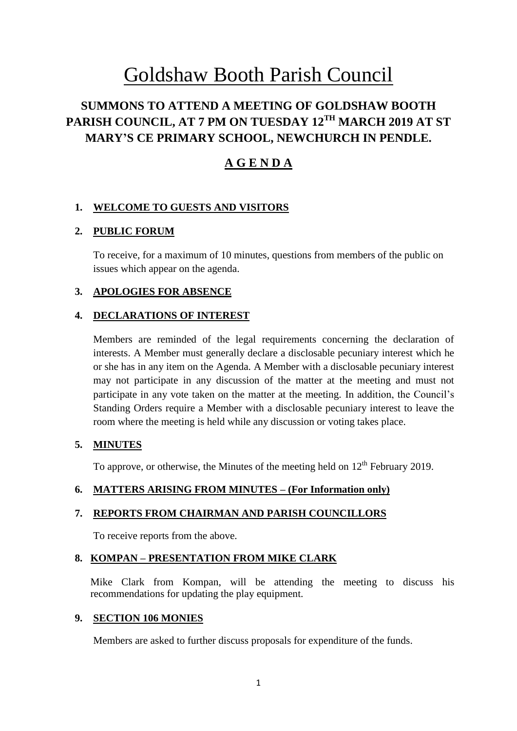# Goldshaw Booth Parish Council

# **SUMMONS TO ATTEND A MEETING OF GOLDSHAW BOOTH PARISH COUNCIL, AT 7 PM ON TUESDAY 12TH MARCH 2019 AT ST MARY'S CE PRIMARY SCHOOL, NEWCHURCH IN PENDLE.**

# **A G E N D A**

# **1. WELCOME TO GUESTS AND VISITORS**

## **2. PUBLIC FORUM**

To receive, for a maximum of 10 minutes, questions from members of the public on issues which appear on the agenda.

## **3. APOLOGIES FOR ABSENCE**

#### **4. DECLARATIONS OF INTEREST**

Members are reminded of the legal requirements concerning the declaration of interests. A Member must generally declare a disclosable pecuniary interest which he or she has in any item on the Agenda. A Member with a disclosable pecuniary interest may not participate in any discussion of the matter at the meeting and must not participate in any vote taken on the matter at the meeting. In addition, the Council's Standing Orders require a Member with a disclosable pecuniary interest to leave the room where the meeting is held while any discussion or voting takes place.

#### **5. MINUTES**

To approve, or otherwise, the Minutes of the meeting held on  $12<sup>th</sup>$  February 2019.

#### **6. MATTERS ARISING FROM MINUTES – (For Information only)**

#### **7. REPORTS FROM CHAIRMAN AND PARISH COUNCILLORS**

To receive reports from the above.

# **8. KOMPAN – PRESENTATION FROM MIKE CLARK**

Mike Clark from Kompan, will be attending the meeting to discuss his recommendations for updating the play equipment.

#### **9. SECTION 106 MONIES**

Members are asked to further discuss proposals for expenditure of the funds.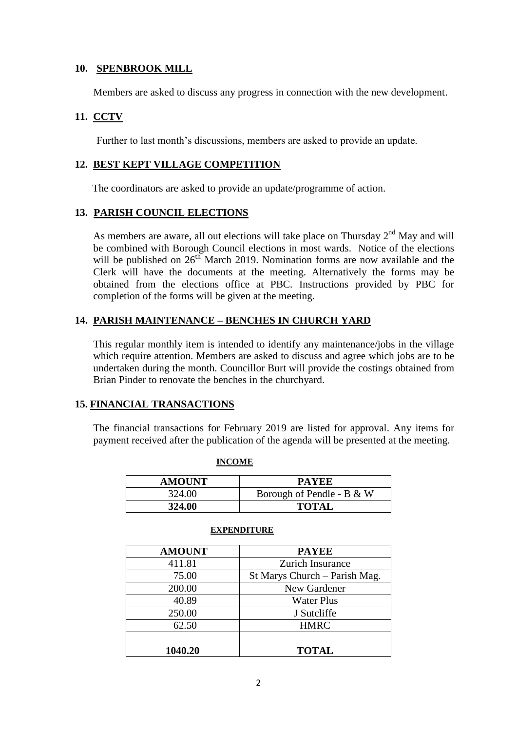#### **10. SPENBROOK MILL**

Members are asked to discuss any progress in connection with the new development.

### **11. CCTV**

Further to last month's discussions, members are asked to provide an update.

#### **12. BEST KEPT VILLAGE COMPETITION**

The coordinators are asked to provide an update/programme of action.

#### **13. PARISH COUNCIL ELECTIONS**

As members are aware, all out elections will take place on Thursday  $2<sup>nd</sup>$  May and will be combined with Borough Council elections in most wards. Notice of the elections will be published on  $26<sup>th</sup>$  March 2019. Nomination forms are now available and the Clerk will have the documents at the meeting. Alternatively the forms may be obtained from the elections office at PBC. Instructions provided by PBC for completion of the forms will be given at the meeting.

#### **14. PARISH MAINTENANCE – BENCHES IN CHURCH YARD**

This regular monthly item is intended to identify any maintenance/jobs in the village which require attention. Members are asked to discuss and agree which jobs are to be undertaken during the month. Councillor Burt will provide the costings obtained from Brian Pinder to renovate the benches in the churchyard.

#### **15. FINANCIAL TRANSACTIONS**

The financial transactions for February 2019 are listed for approval. Any items for payment received after the publication of the agenda will be presented at the meeting.

| <b>AMOUNT</b> | <b>PAYEE</b>              |
|---------------|---------------------------|
| 324.00        | Borough of Pendle - B & W |
| 324.00        | <b>TOTAL</b>              |

#### **EXPENDITURE**

**INCOME**

| <b>AMOUNT</b> | <b>PAYEE</b>                  |
|---------------|-------------------------------|
| 411.81        | Zurich Insurance              |
| 75.00         | St Marys Church – Parish Mag. |
| 200.00        | New Gardener                  |
| 40.89         | <b>Water Plus</b>             |
| 250.00        | J Sutcliffe                   |
| 62.50         | <b>HMRC</b>                   |
|               |                               |
| 1040.20       | <b>TOTAL</b>                  |